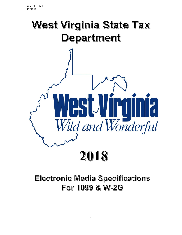

# **Electronic Media Specifications** For 1099 & W-2G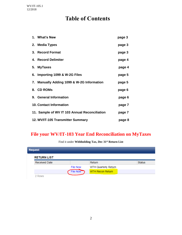## **Table of Contents**

|    | 1. What's New                                 | page 3 |
|----|-----------------------------------------------|--------|
|    | 2. Media Types                                | page 3 |
| 3. | <b>Record Format</b>                          | page 3 |
|    | 4. Record Delimiter                           | page 4 |
| 5. | <b>MyTaxes</b>                                | page 4 |
|    | 6. Importing 1099 & W-2G Files                | page 5 |
|    | 7. Manually Adding 1099 & W-2G Information    | page 5 |
|    | 8. CD ROMs                                    | page 6 |
|    | 9. General Information                        | page 6 |
|    | <b>10. Contact Information</b>                | page 7 |
|    | 11. Sample of WV IT 103 Annual Reconciliation | page 7 |
|    | 12. WV/IT-105 Transmitter Summary             | page 8 |

#### **File your WV/IT-103 Year End Reconciliation on MyTaxes**

| <b>Request</b> |                      |                 |                         |               |
|----------------|----------------------|-----------------|-------------------------|---------------|
|                | <b>RETURN LIST</b>   |                 |                         |               |
|                | <b>Received Date</b> |                 | Return                  | <b>Status</b> |
|                |                      | <b>File Now</b> | WTH Quarterly Return    |               |
|                |                      | <b>File Now</b> | <b>WTH Recon Return</b> |               |
|                | <b>OWS</b>           |                 |                         |               |

Find it under **Withholding Tax, Dec 31st Return List**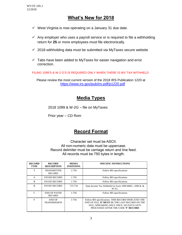#### **What's New for 2018**

- $\checkmark$  West Virginia is now operating on a January 31 due date.
- $\checkmark$  Any employer who uses a payroll service or is required to file a withholding return for **25** or more employees must file electronically.
- $\checkmark$  2018 withholding data must be submitted via MyTaxes secure website
- $\checkmark$  Tabs have been added to MyTaxes for easier navigation and error correction.

FILING 1099'S & W-2 G'S IS REQUIRED ONLY WHEN THERE IS WV TAX WITHHELD

Please review the most current version of the 2018 IRS Publication 1220 at <https://www.irs.gov/pub/irs-pdf/p1220.pdf>

#### **Media Types**

2018 1099 & W-2G – file on MyTaxes

Prior year – CD Rom

#### **Record Format**

Character set must be ASCII. All non-numeric data must be uppercase. Record delimiter must be carriage return and line feed. All records must be 750 bytes in length.

| <b>RECORD</b><br><b>TYPE</b> | <b>RECORD</b><br><b>DESCRIPTION</b>  | <b>MEDIA</b><br><b>POSITIONS</b> | <b>SPECIFIC INSTRUCTIONS</b>                                                                                                                                                             |  |
|------------------------------|--------------------------------------|----------------------------------|------------------------------------------------------------------------------------------------------------------------------------------------------------------------------------------|--|
| T                            | <b>TRANSMITTER</b><br><b>RECORD</b>  | $1 - 750$                        | Follow IRS specifications                                                                                                                                                                |  |
| A                            | <b>PAYER RECORD</b>                  | 1-750                            | Follow IRS specifications                                                                                                                                                                |  |
| B                            | <b>PAYEE RECORD</b>                  | 1-750                            | Follow IRS specifications                                                                                                                                                                |  |
| B                            | <b>PAYEE RECORD</b>                  | 723-734                          | State Income Tax Withheld for Form 1099-MISC, 1099-R, &<br>W-2G.                                                                                                                         |  |
| C                            | <b>END OF PAYER</b><br><b>RECORD</b> | 1-750                            | Follow IRS specifications                                                                                                                                                                |  |
| F                            | END OF<br><b>TRANSMISSION</b>        | $1 - 750$                        | Follow IRS specifications. THIS RECORD INDICATES THE<br>END OF FILE. IT MUST BE THE LAST RECORD ON THE<br>FILE, APPEARING ONLY ONCE. NO DATA GETS<br>PROCESSED AFTER THE CODE 'F' RECORD |  |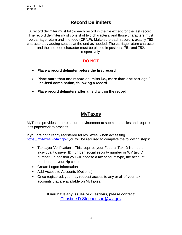## **Record Delimiters**

A record delimiter must follow each record in the file except for the last record. The record delimiter must consist of two characters, and those characters must be carriage return and line feed (CR/LF). Make sure each record is exactly 750 characters by adding spaces at the end as needed. The carriage return character and the line feed character must be placed in positions 751 and 752, respectively.

#### **DO NOT**

- **Place a record delimiter before the first record**
- **Place more than one record delimiter i.e., more than one carriage / line-feed combination, following a record**
- **Place record delimiters after a field within the record**

## **MyTaxes**

MyTaxes provides a more secure environment to submit data files and requires less paperwork to process.

If you are not already registered for MyTaxes, when accessing [https://mytaxes.wvtax.gov](https://mytaxes.wvtax.gov/) you will be required to complete the following steps:

- Taxpayer Verification This requires your Federal Tax ID Number, individual taxpayer ID number, social security number or WV tax ID number. In addition you will choose a tax account type, the account number and your zip code.
- Create Logon Information
- Add Access to Accounts (Optional)
- Once registered, you may request access to any or all of your tax accounts that are available on MyTaxes.

**If you have any issues or questions, please contact:**  [Christine.D.Stephenson@wv.gov](mailto:Christine.D.Stephenson@wv.gov)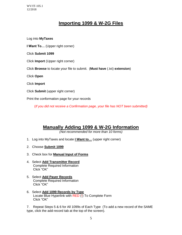#### **Importing 1099 & W-2G Files**

Log into **MyTaxes I Want To…** (Upper right corner) Click **Submit 1099**  Click **Import** (Upper right corner) Click **Browse** to locate your file to submit. (**Must have** (.txt) **extension**) Click **Open** Click **Import** Click **Submit** (upper right corner) Print the conformation page for your records

(*If you did not receive a Confirmation page, your file has NOT been submitted)*

#### **Manually Adding 1099 & W-2G Information**

*(Not recommended for more than 10 forms)*

- 1. Log into MyTaxes and locate **I Want to…** (upper right corner)
- 2. Choose **Submit 1099**
- 3. Check box for **Manual Input of Forms**
- 4. Select **Add Transmitter Record**  Complete Required Information Click "OK"
- 5. Select **Add Payer Records**  Complete Required Information Click "OK"
- 6. Select **Add 1099 Records by Type** Locate Blue Hyperlink with RED (!) To Complete Form Click "OK"

7. Repeat Steps 5 & 6 for All 1099s of Each Type (To add a new record of the SAME type, click the add-record tab at the top of the screen).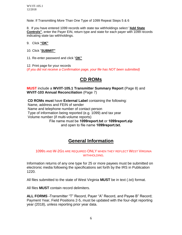Note: If Transmitting More Than One Type of 1099 Repeat Steps 5 & 6

8. If you have entered 1099 records with state tax withholdings select "**Add State Controls"**, enter the Payer EIN, return type and state for each payer with 1099 records indicating state tax withholdings.

- 9. Click **"OK"**
- 10. Click "**SUBMIT"**
- 11. Re-enter password and click "**OK"**

12. Print page for your records

(*If you did not receive a Confirmation page, your file has NOT been submitted)* 

#### **CD ROMs**

**MUST** include a **WV/IT-105.1 Transmitter Summary Report** (Page 8) and **WV/IT-103 Annual Reconciliation** (Page 7)

**CD ROMs must** have **External Label** containing the following: Name, address and FEIN of sender Name and telephone number of contact person Type of information being reported (e.g. 1099) and tax year Volume number (if multi-volume reports) File name must be **1099report.txt** or **1099report.zip** and open to file name **1099report.txt.**

## **General Information**

#### 1099S AND W-2GS ARE REQUIRED ONLY WHEN THEY REFLECT WEST VIRGINIA WITHHOLDING.

Information returns of any one type for 25 or more payees must be submitted on electronic media following the specifications set forth by the IRS in Publication 1220.

All files submitted to the state of West Virginia **MUST** be in text (.txt) format.

All files **MUST** contain record delimiters.

**ALL FORMS -**Transmitter "T" Record, Payer "A" Record, and Payee B" Record; Payment Year, Field Positions 2-5, must be updated with the four-digit reporting year (2018), unless reporting prior year data.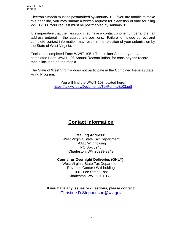> Electronic media must be postmarked by January 31. If you are unable to make this deadline, you may submit a written request for extension of time for filing WV/IT-103. Your request must be postmarked by January 31.

> It is imperative that the files submitted have a contact phone number and email address entered in the appropriate positions. Failure to include correct and complete contact information may result in the rejection of your submission by the State of West Virginia.

Enclose a completed Form WV/IT-105.1 Transmitter Summary and a completed Form WV/IT-103 Annual Reconciliation, for each payer's record that is included on the media.

The State of West Virginia does not participate in the Combined Federal/State Filing Program.

> You will find the WV/IT-103 located here: <https://tax.wv.gov/Documents/TaxForms/it103.pdf>

#### **Contact Information**

#### **Mailing Address:**

West Virginia State Tax Department TAAD/ Withholding PO Box 3943 Charleston, WV 25339-3943

#### **Courier or Overnight Deliveries (ONLY):**

West Virginia State Tax Department Revenue Center / Withholding 1001 Lee Street East Charleston, WV 25301-1725

**If you have any issues or questions, please contact:**  [Christine.D.Stephenson@wv.gov](mailto:Christine.D.Stephenson@wv.gov)